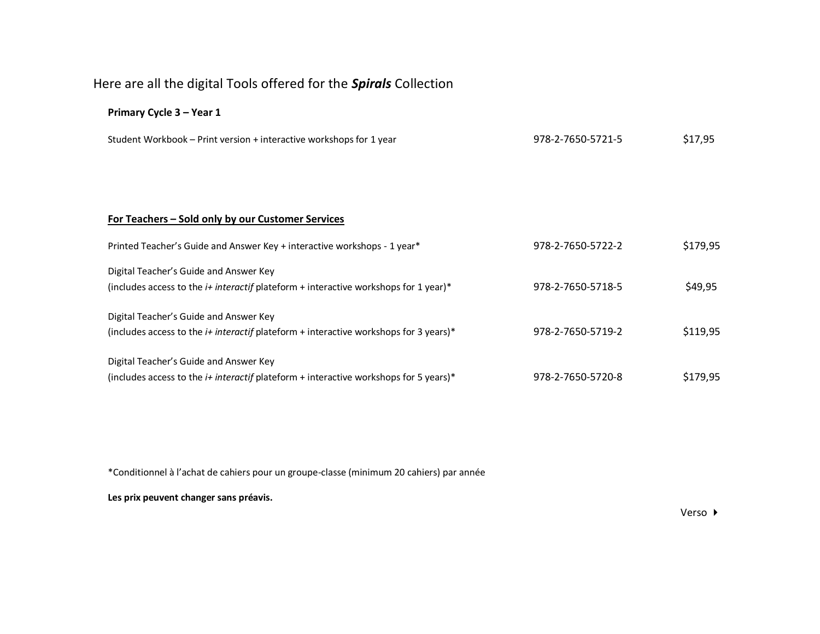## Here are all the digital Tools offered for the *Spirals* Collection

## **Primary Cycle 3 – Year 1**

| Student Workbook – Print version + interactive workshops for 1 year                          | 978-2-7650-5721-5 | \$17,95  |
|----------------------------------------------------------------------------------------------|-------------------|----------|
|                                                                                              |                   |          |
|                                                                                              |                   |          |
| For Teachers – Sold only by our Customer Services                                            |                   |          |
| Printed Teacher's Guide and Answer Key + interactive workshops - 1 year*                     | 978-2-7650-5722-2 | \$179,95 |
| Digital Teacher's Guide and Answer Key                                                       |                   |          |
| (includes access to the <i>i+ interactif</i> plateform + interactive workshops for 1 year)*  | 978-2-7650-5718-5 | \$49,95  |
| Digital Teacher's Guide and Answer Key                                                       |                   |          |
| (includes access to the $i+$ interactif plateform + interactive workshops for 3 years)*      | 978-2-7650-5719-2 | \$119,95 |
| Digital Teacher's Guide and Answer Key                                                       |                   |          |
| (includes access to the <i>i+ interactif</i> plateform + interactive workshops for 5 years)* | 978-2-7650-5720-8 | \$179,95 |

\*Conditionnel à l'achat de cahiers pour un groupe-classe (minimum 20 cahiers) par année

**Les prix peuvent changer sans préavis.**

Verso ▶